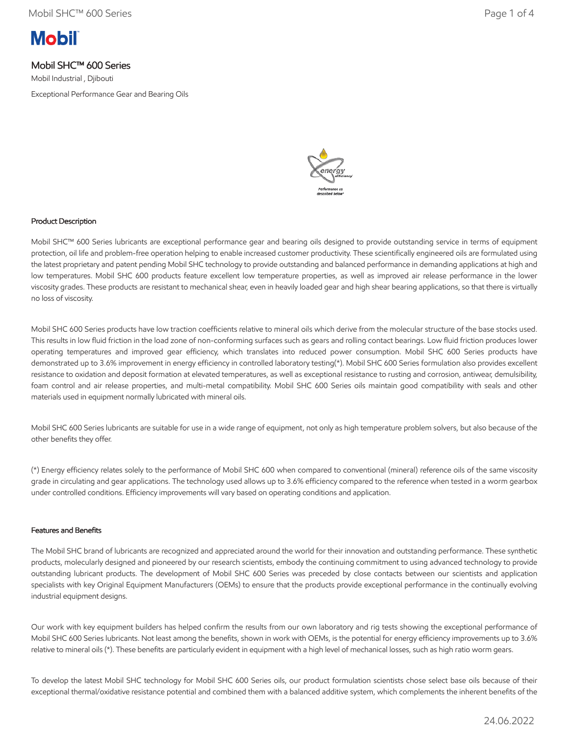

# Mobil SHC™ 600 Series

Mobil Industrial , Djibouti Exceptional Performance Gear and Bearing Oils



## Product Description

Mobil SHC™ 600 Series lubricants are exceptional performance gear and bearing oils designed to provide outstanding service in terms of equipment protection, oil life and problem-free operation helping to enable increased customer productivity. These scientifically engineered oils are formulated using the latest proprietary and patent pending Mobil SHC technology to provide outstanding and balanced performance in demanding applications at high and low temperatures. Mobil SHC 600 products feature excellent low temperature properties, as well as improved air release performance in the lower viscosity grades. These products are resistant to mechanical shear, even in heavily loaded gear and high shear bearing applications, so that there is virtually no loss of viscosity.

Mobil SHC 600 Series products have low traction coefficients relative to mineral oils which derive from the molecular structure of the base stocks used. This results in low fluid friction in the load zone of non-conforming surfaces such as gears and rolling contact bearings. Low fluid friction produces lower operating temperatures and improved gear efficiency, which translates into reduced power consumption. Mobil SHC 600 Series products have demonstrated up to 3.6% improvement in energy efficiency in controlled laboratory testing(\*). Mobil SHC 600 Series formulation also provides excellent resistance to oxidation and deposit formation at elevated temperatures, as well as exceptional resistance to rusting and corrosion, antiwear, demulsibility, foam control and air release properties, and multi-metal compatibility. Mobil SHC 600 Series oils maintain good compatibility with seals and other materials used in equipment normally lubricated with mineral oils.

Mobil SHC 600 Series lubricants are suitable for use in a wide range of equipment, not only as high temperature problem solvers, but also because of the other benefits they offer.

(\*) Energy efficiency relates solely to the performance of Mobil SHC 600 when compared to conventional (mineral) reference oils of the same viscosity grade in circulating and gear applications. The technology used allows up to 3.6% efficiency compared to the reference when tested in a worm gearbox under controlled conditions. Efficiency improvements will vary based on operating conditions and application.

### Features and Benefits

The Mobil SHC brand of lubricants are recognized and appreciated around the world for their innovation and outstanding performance. These synthetic products, molecularly designed and pioneered by our research scientists, embody the continuing commitment to using advanced technology to provide outstanding lubricant products. The development of Mobil SHC 600 Series was preceded by close contacts between our scientists and application specialists with key Original Equipment Manufacturers (OEMs) to ensure that the products provide exceptional performance in the continually evolving industrial equipment designs.

Our work with key equipment builders has helped confirm the results from our own laboratory and rig tests showing the exceptional performance of Mobil SHC 600 Series lubricants. Not least among the benefits, shown in work with OEMs, is the potential for energy efficiency improvements up to 3.6% relative to mineral oils (\*). These benefits are particularly evident in equipment with a high level of mechanical losses, such as high ratio worm gears.

To develop the latest Mobil SHC technology for Mobil SHC 600 Series oils, our product formulation scientists chose select base oils because of their exceptional thermal/oxidative resistance potential and combined them with a balanced additive system, which complements the inherent benefits of the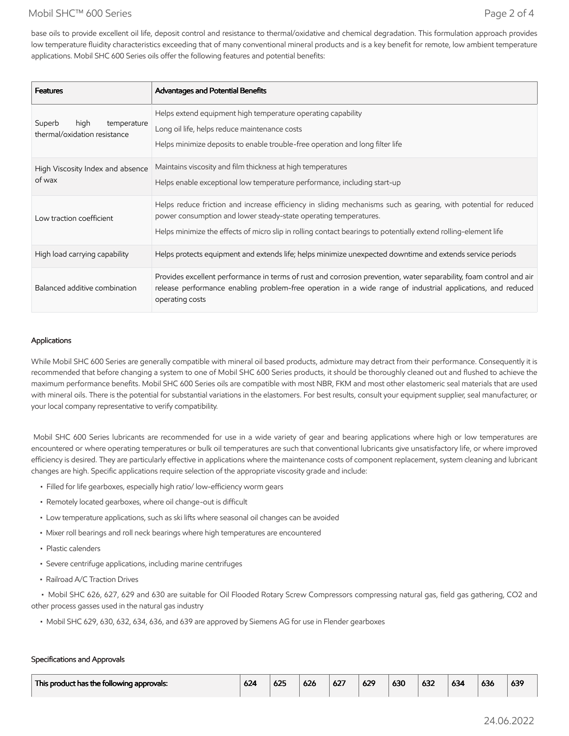## Mobil SHC™ 600 Series Page 2 of 4

base oils to provide excellent oil life, deposit control and resistance to thermal/oxidative and chemical degradation. This formulation approach provides low temperature fluidity characteristics exceeding that of many conventional mineral products and is a key benefit for remote, low ambient temperature applications. Mobil SHC 600 Series oils offer the following features and potential benefits:

| <b>Features</b>                                               | <b>Advantages and Potential Benefits</b>                                                                                                                                                                                                                                                               |
|---------------------------------------------------------------|--------------------------------------------------------------------------------------------------------------------------------------------------------------------------------------------------------------------------------------------------------------------------------------------------------|
| Superb<br>high<br>temperature<br>thermal/oxidation resistance | Helps extend equipment high temperature operating capability<br>Long oil life, helps reduce maintenance costs<br>Helps minimize deposits to enable trouble-free operation and long filter life                                                                                                         |
| High Viscosity Index and absence<br>of wax                    | Maintains viscosity and film thickness at high temperatures<br>Helps enable exceptional low temperature performance, including start-up                                                                                                                                                                |
| Low traction coefficient                                      | Helps reduce friction and increase efficiency in sliding mechanisms such as gearing, with potential for reduced<br>power consumption and lower steady-state operating temperatures.<br>Helps minimize the effects of micro slip in rolling contact bearings to potentially extend rolling-element life |
| High load carrying capability                                 | Helps protects equipment and extends life; helps minimize unexpected downtime and extends service periods                                                                                                                                                                                              |
| Balanced additive combination                                 | Provides excellent performance in terms of rust and corrosion prevention, water separability, foam control and air<br>release performance enabling problem-free operation in a wide range of industrial applications, and reduced<br>operating costs                                                   |

### Applications

While Mobil SHC 600 Series are generally compatible with mineral oil based products, admixture may detract from their performance. Consequently it is recommended that before changing a system to one of Mobil SHC 600 Series products, it should be thoroughly cleaned out and flushed to achieve the maximum performance benefits. Mobil SHC 600 Series oils are compatible with most NBR, FKM and most other elastomeric seal materials that are used with mineral oils. There is the potential for substantial variations in the elastomers. For best results, consult your equipment supplier, seal manufacturer, or your local company representative to verify compatibility.

 Mobil SHC 600 Series lubricants are recommended for use in a wide variety of gear and bearing applications where high or low temperatures are encountered or where operating temperatures or bulk oil temperatures are such that conventional lubricants give unsatisfactory life, or where improved efficiency is desired. They are particularly effective in applications where the maintenance costs of component replacement, system cleaning and lubricant changes are high. Specific applications require selection of the appropriate viscosity grade and include:

- Filled for life gearboxes, especially high ratio/ low-efficiency worm gears
- Remotely located gearboxes, where oil change-out is difficult
- Low temperature applications, such as ski lifts where seasonal oil changes can be avoided
- Mixer roll bearings and roll neck bearings where high temperatures are encountered
- Plastic calenders
- Severe centrifuge applications, including marine centrifuges
- Railroad A/C Traction Drives

 • Mobil SHC 626, 627, 629 and 630 are suitable for Oil Flooded Rotary Screw Compressors compressing natural gas, field gas gathering, CO2 and other process gasses used in the natural gas industry

• Mobil SHC 629, 630, 632, 634, 636, and 639 are approved by Siemens AG for use in Flender gearboxes

### Specifications and Approvals

| This product has the following approvals: | 624 | 625 | 626 | $\sim$<br>OZ. | 629 | 630 | 632 | 634 | $\cdots$<br>630 | 639 |
|-------------------------------------------|-----|-----|-----|---------------|-----|-----|-----|-----|-----------------|-----|
|                                           |     |     |     |               |     |     |     |     |                 |     |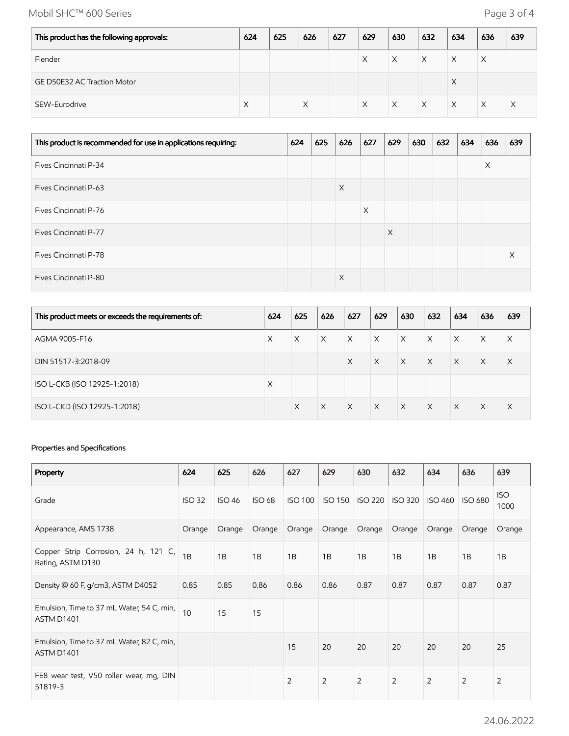Mobil SHC™ 600 Series Page 3 of 4

| This product has the following approvals: | 624 | 625 | 626 | 627 | 629 | 630 | 632 | 634 | 636 | 639 |
|-------------------------------------------|-----|-----|-----|-----|-----|-----|-----|-----|-----|-----|
| Flender                                   |     |     |     |     | X   | X   | X   | X   |     |     |
| <b>GE D50E32 AC Traction Motor</b>        |     |     |     |     |     |     |     | X   |     |     |
| SEW-Eurodrive                             |     |     | X   |     | X   | X   | X   | X   | X   | X   |

| This product is recommended for use in applications requiring: | 624 | 625 | 626 | 627 | 629 | 630 | 632 | 634 | 636 | 639 |
|----------------------------------------------------------------|-----|-----|-----|-----|-----|-----|-----|-----|-----|-----|
| Fives Cincinnati P-34                                          |     |     |     |     |     |     |     |     | X   |     |
| <b>Fives Cincinnati P-63</b>                                   |     |     | X   |     |     |     |     |     |     |     |
| Fives Cincinnati P-76                                          |     |     |     | X   |     |     |     |     |     |     |
| Fives Cincinnati P-77                                          |     |     |     |     | X   |     |     |     |     |     |
| Fives Cincinnati P-78                                          |     |     |     |     |     |     |     |     |     | X   |
| Fives Cincinnati P-80                                          |     |     | X   |     |     |     |     |     |     |     |

| This product meets or exceeds the requirements of: | 624      | 625      | 626          | 627          | 629          | 630          | 632          | 634          | 636      | 639      |
|----------------------------------------------------|----------|----------|--------------|--------------|--------------|--------------|--------------|--------------|----------|----------|
| AGMA 9005-F16                                      | $\times$ | $\times$ | $\mathsf{X}$ | $\mathsf{X}$ | $\times$     | $\mathsf{X}$ | $\times$     | $\times$     | $\times$ | X        |
| DIN 51517-3:2018-09                                |          |          |              | $\times$     | $\times$     | $\mathsf{X}$ | $\mathsf{X}$ | $\mathsf{X}$ | $\times$ | $\times$ |
| ISO L-CKB (ISO 12925-1:2018)                       | X        |          |              |              |              |              |              |              |          |          |
| ISO L-CKD (ISO 12925-1:2018)                       |          | X        | X            | $\mathsf{X}$ | $\mathsf{X}$ | $\mathsf{X}$ | $\mathsf{X}$ | $\times$     | $\times$ | $\times$ |

## Properties and Specifications

| Property                                                  | 624           | 625           | 626           | 627            | 629            | 630            | 632            | 634            | 636            | 639                |
|-----------------------------------------------------------|---------------|---------------|---------------|----------------|----------------|----------------|----------------|----------------|----------------|--------------------|
| Grade                                                     | <b>ISO 32</b> | <b>ISO 46</b> | <b>ISO 68</b> | <b>ISO 100</b> | <b>ISO 150</b> | <b>ISO 220</b> | <b>ISO 320</b> | <b>ISO 460</b> | <b>ISO 680</b> | <b>ISO</b><br>1000 |
| Appearance, AMS 1738                                      | Orange        | Orange        | Orange        | Orange         | Orange         | Orange         | Orange         | Orange         | Orange         | Orange             |
| Copper Strip Corrosion, 24 h, 121 C,<br>Rating, ASTM D130 | 1B            | 1B            | 1B            | 1B             | 1B             | 1B             | 1B             | 1B             | 1B             | 1B                 |
| Density $@$ 60 F, g/cm3, ASTM D4052                       | 0.85          | 0.85          | 0.86          | 0.86           | 0.86           | 0.87           | 0.87           | 0.87           | 0.87           | 0.87               |
| Emulsion, Time to 37 mL Water, 54 C, min,<br>ASTM D1401   | 10            | 15            | 15            |                |                |                |                |                |                |                    |
| Emulsion, Time to 37 mL Water, 82 C, min,<br>ASTM D1401   |               |               |               | 15             | 20             | 20             | 20             | 20             | 20             | 25                 |
| FE8 wear test, V50 roller wear, mg, DIN<br>51819-3        |               |               |               | 2              | 2              | $\overline{2}$ | $\overline{2}$ | $\overline{2}$ | $\overline{2}$ | 2                  |